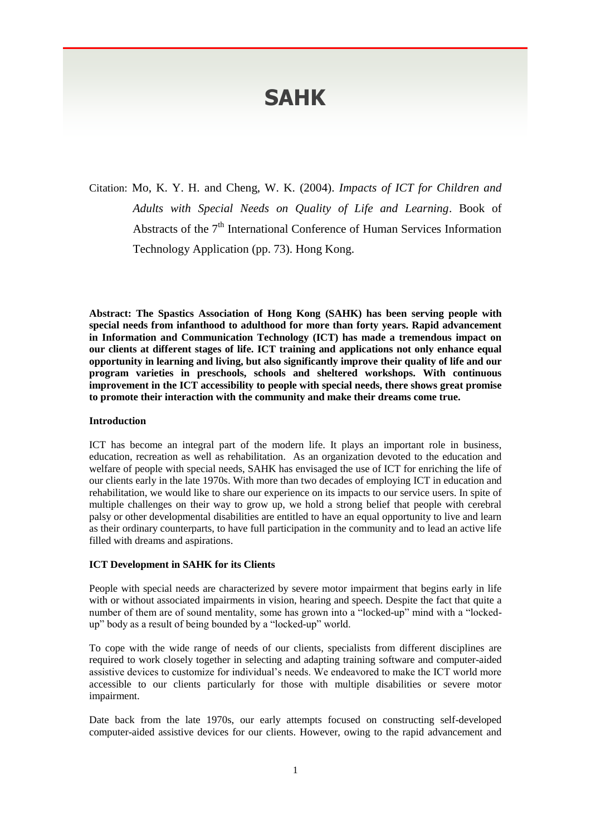# **SAHK**

Citation: Mo, K. Y. H. and Cheng, W. K. (2004). *Impacts of ICT for Children and Adults with Special Needs on Quality of Life and Learning*. Book of Abstracts of the  $7<sup>th</sup>$  International Conference of Human Services Information Technology Application (pp. 73). Hong Kong.

**Abstract: The Spastics Association of Hong Kong (SAHK) has been serving people with special needs from infanthood to adulthood for more than forty years. Rapid advancement in Information and Communication Technology (ICT) has made a tremendous impact on our clients at different stages of life. ICT training and applications not only enhance equal opportunity in learning and living, but also significantly improve their quality of life and our program varieties in preschools, schools and sheltered workshops. With continuous improvement in the ICT accessibility to people with special needs, there shows great promise to promote their interaction with the community and make their dreams come true.**

#### **Introduction**

ICT has become an integral part of the modern life. It plays an important role in business, education, recreation as well as rehabilitation. As an organization devoted to the education and welfare of people with special needs, SAHK has envisaged the use of ICT for enriching the life of our clients early in the late 1970s. With more than two decades of employing ICT in education and rehabilitation, we would like to share our experience on its impacts to our service users. In spite of multiple challenges on their way to grow up, we hold a strong belief that people with cerebral palsy or other developmental disabilities are entitled to have an equal opportunity to live and learn as their ordinary counterparts, to have full participation in the community and to lead an active life filled with dreams and aspirations.

## **ICT Development in SAHK for its Clients**

People with special needs are characterized by severe motor impairment that begins early in life with or without associated impairments in vision, hearing and speech. Despite the fact that quite a number of them are of sound mentality, some has grown into a "locked-up" mind with a "lockedup" body as a result of being bounded by a "locked-up" world.

To cope with the wide range of needs of our clients, specialists from different disciplines are required to work closely together in selecting and adapting training software and computer-aided assistive devices to customize for individual's needs. We endeavored to make the ICT world more accessible to our clients particularly for those with multiple disabilities or severe motor impairment.

Date back from the late 1970s, our early attempts focused on constructing self-developed computer-aided assistive devices for our clients. However, owing to the rapid advancement and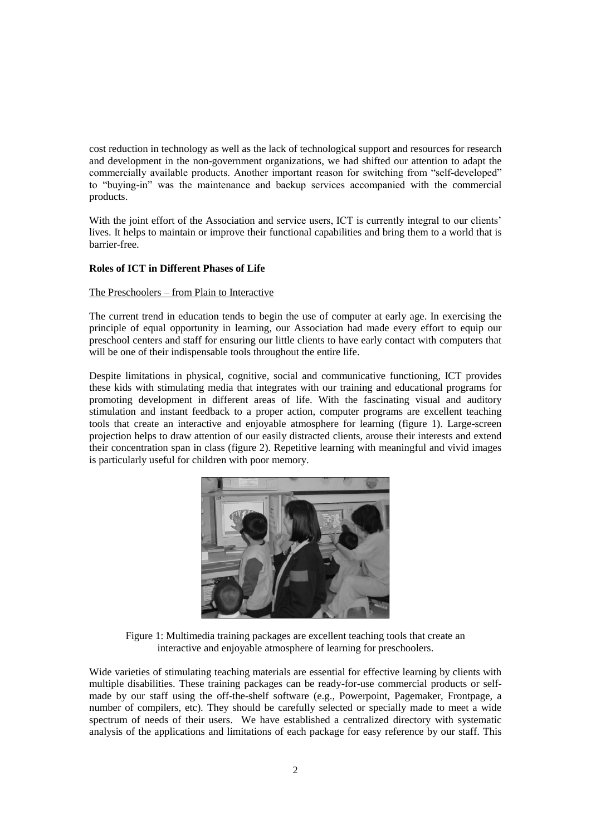cost reduction in technology as well as the lack of technological support and resources for research and development in the non-government organizations, we had shifted our attention to adapt the commercially available products. Another important reason for switching from "self-developed" to "buying-in" was the maintenance and backup services accompanied with the commercial products.

With the joint effort of the Association and service users, ICT is currently integral to our clients' lives. It helps to maintain or improve their functional capabilities and bring them to a world that is barrier-free.

## **Roles of ICT in Different Phases of Life**

#### The Preschoolers – from Plain to Interactive

The current trend in education tends to begin the use of computer at early age. In exercising the principle of equal opportunity in learning, our Association had made every effort to equip our preschool centers and staff for ensuring our little clients to have early contact with computers that will be one of their indispensable tools throughout the entire life.

Despite limitations in physical, cognitive, social and communicative functioning, ICT provides these kids with stimulating media that integrates with our training and educational programs for promoting development in different areas of life. With the fascinating visual and auditory stimulation and instant feedback to a proper action, computer programs are excellent teaching tools that create an interactive and enjoyable atmosphere for learning (figure 1). Large-screen projection helps to draw attention of our easily distracted clients, arouse their interests and extend their concentration span in class (figure 2). Repetitive learning with meaningful and vivid images is particularly useful for children with poor memory.



Figure 1: Multimedia training packages are excellent teaching tools that create an interactive and enjoyable atmosphere of learning for preschoolers.

Wide varieties of stimulating teaching materials are essential for effective learning by clients with multiple disabilities. These training packages can be ready-for-use commercial products or selfmade by our staff using the off-the-shelf software (e.g., Powerpoint, Pagemaker, Frontpage, a number of compilers, etc). They should be carefully selected or specially made to meet a wide spectrum of needs of their users. We have established a centralized directory with systematic analysis of the applications and limitations of each package for easy reference by our staff. This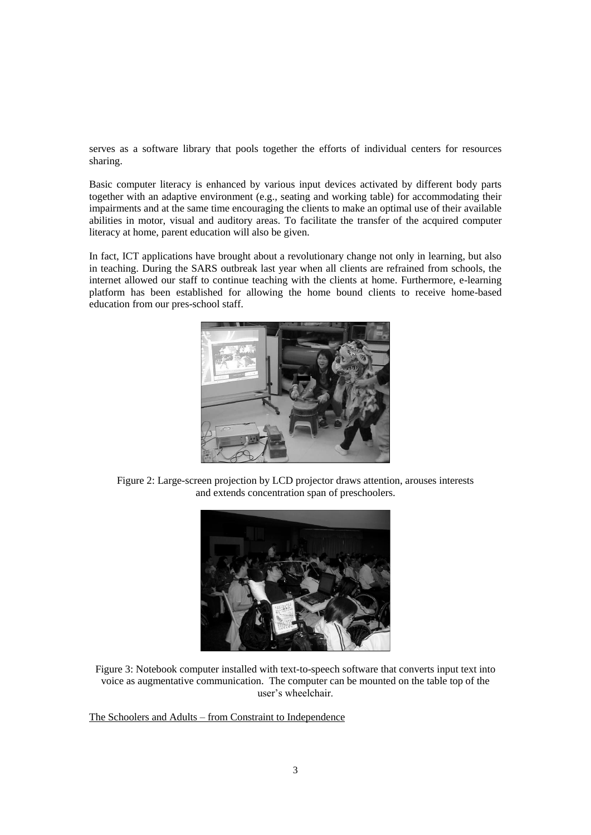serves as a software library that pools together the efforts of individual centers for resources sharing.

Basic computer literacy is enhanced by various input devices activated by different body parts together with an adaptive environment (e.g., seating and working table) for accommodating their impairments and at the same time encouraging the clients to make an optimal use of their available abilities in motor, visual and auditory areas. To facilitate the transfer of the acquired computer literacy at home, parent education will also be given.

In fact, ICT applications have brought about a revolutionary change not only in learning, but also in teaching. During the SARS outbreak last year when all clients are refrained from schools, the internet allowed our staff to continue teaching with the clients at home. Furthermore, e-learning platform has been established for allowing the home bound clients to receive home-based education from our pres-school staff.



Figure 2: Large-screen projection by LCD projector draws attention, arouses interests and extends concentration span of preschoolers.



Figure 3: Notebook computer installed with text-to-speech software that converts input text into voice as augmentative communication. The computer can be mounted on the table top of the user's wheelchair.

The Schoolers and Adults – from Constraint to Independence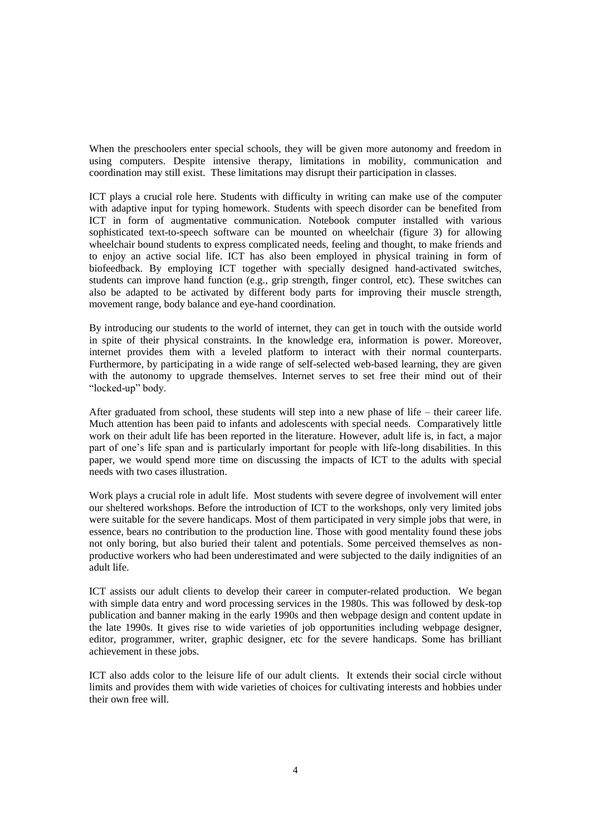When the preschoolers enter special schools, they will be given more autonomy and freedom in using computers. Despite intensive therapy, limitations in mobility, communication and coordination may still exist. These limitations may disrupt their participation in classes.

ICT plays a crucial role here. Students with difficulty in writing can make use of the computer with adaptive input for typing homework. Students with speech disorder can be benefited from ICT in form of augmentative communication. Notebook computer installed with various sophisticated text-to-speech software can be mounted on wheelchair (figure 3) for allowing wheelchair bound students to express complicated needs, feeling and thought, to make friends and to enjoy an active social life. ICT has also been employed in physical training in form of biofeedback. By employing ICT together with specially designed hand-activated switches, students can improve hand function (e.g., grip strength, finger control, etc). These switches can also be adapted to be activated by different body parts for improving their muscle strength, movement range, body balance and eye-hand coordination.

By introducing our students to the world of internet, they can get in touch with the outside world in spite of their physical constraints. In the knowledge era, information is power. Moreover, internet provides them with a leveled platform to interact with their normal counterparts. Furthermore, by participating in a wide range of self-selected web-based learning, they are given with the autonomy to upgrade themselves. Internet serves to set free their mind out of their "locked-up" body.

After graduated from school, these students will step into a new phase of life – their career life. Much attention has been paid to infants and adolescents with special needs. Comparatively little work on their adult life has been reported in the literature. However, adult life is, in fact, a major part of one's life span and is particularly important for people with life-long disabilities. In this paper, we would spend more time on discussing the impacts of ICT to the adults with special needs with two cases illustration.

Work plays a crucial role in adult life. Most students with severe degree of involvement will enter our sheltered workshops. Before the introduction of ICT to the workshops, only very limited jobs were suitable for the severe handicaps. Most of them participated in very simple jobs that were, in essence, bears no contribution to the production line. Those with good mentality found these jobs not only boring, but also buried their talent and potentials. Some perceived themselves as nonproductive workers who had been underestimated and were subjected to the daily indignities of an adult life.

ICT assists our adult clients to develop their career in computer-related production. We began with simple data entry and word processing services in the 1980s. This was followed by desk-top publication and banner making in the early 1990s and then webpage design and content update in the late 1990s. It gives rise to wide varieties of job opportunities including webpage designer, editor, programmer, writer, graphic designer, etc for the severe handicaps. Some has brilliant achievement in these jobs.

ICT also adds color to the leisure life of our adult clients. It extends their social circle without limits and provides them with wide varieties of choices for cultivating interests and hobbies under their own free will.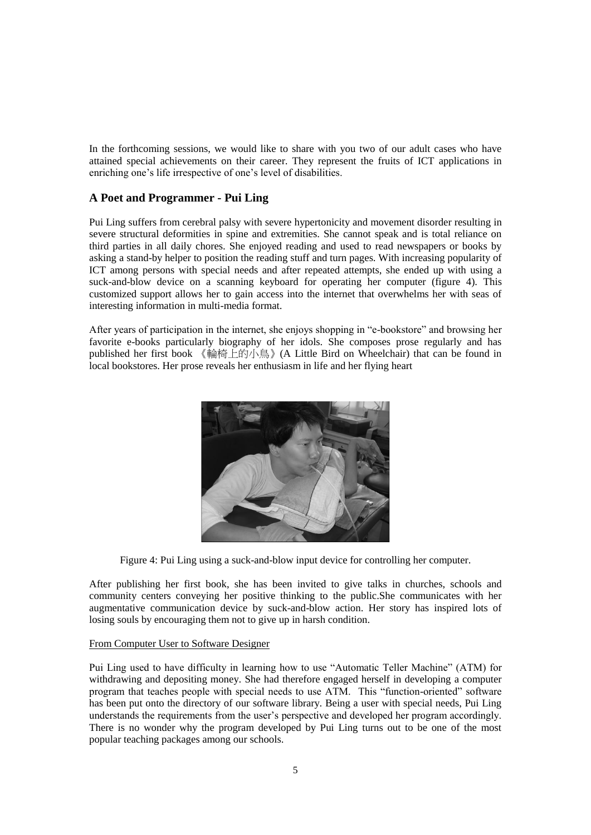In the forthcoming sessions, we would like to share with you two of our adult cases who have attained special achievements on their career. They represent the fruits of ICT applications in enriching one's life irrespective of one's level of disabilities.

# **A Poet and Programmer - Pui Ling**

Pui Ling suffers from cerebral palsy with severe hypertonicity and movement disorder resulting in severe structural deformities in spine and extremities. She cannot speak and is total reliance on third parties in all daily chores. She enjoyed reading and used to read newspapers or books by asking a stand-by helper to position the reading stuff and turn pages. With increasing popularity of ICT among persons with special needs and after repeated attempts, she ended up with using a suck-and-blow device on a scanning keyboard for operating her computer (figure 4). This customized support allows her to gain access into the internet that overwhelms her with seas of interesting information in multi-media format.

After years of participation in the internet, she enjoys shopping in "e-bookstore" and browsing her favorite e-books particularly biography of her idols. She composes prose regularly and has published her first book 《輪椅上的小鳥》(A Little Bird on Wheelchair) that can be found in local bookstores. Her prose reveals her enthusiasm in life and her flying heart



Figure 4: Pui Ling using a suck-and-blow input device for controlling her computer.

After publishing her first book, she has been invited to give talks in churches, schools and community centers conveying her positive thinking to the public.She communicates with her augmentative communication device by suck-and-blow action. Her story has inspired lots of losing souls by encouraging them not to give up in harsh condition.

#### From Computer User to Software Designer

Pui Ling used to have difficulty in learning how to use "Automatic Teller Machine" (ATM) for withdrawing and depositing money. She had therefore engaged herself in developing a computer program that teaches people with special needs to use ATM. This "function-oriented" software has been put onto the directory of our software library. Being a user with special needs, Pui Ling understands the requirements from the user's perspective and developed her program accordingly. There is no wonder why the program developed by Pui Ling turns out to be one of the most popular teaching packages among our schools.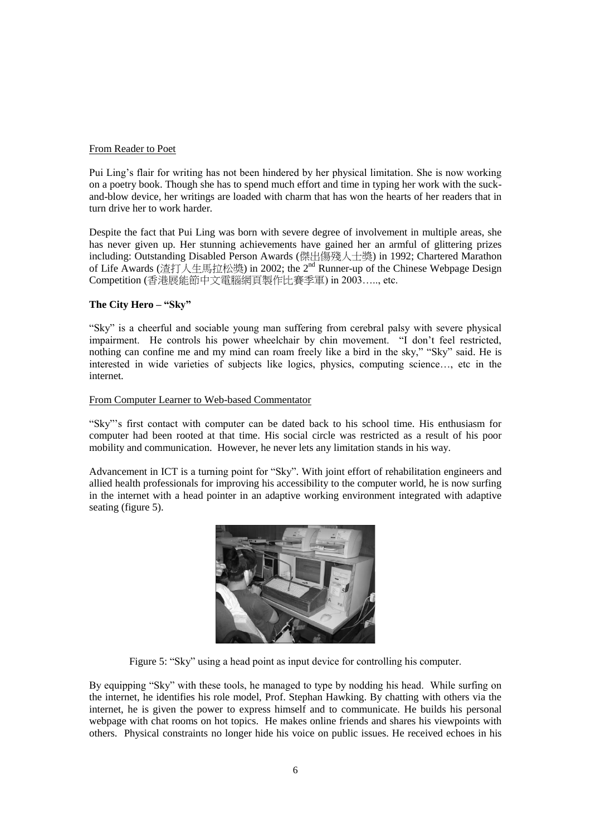## From Reader to Poet

Pui Ling's flair for writing has not been hindered by her physical limitation. She is now working on a poetry book. Though she has to spend much effort and time in typing her work with the suckand-blow device, her writings are loaded with charm that has won the hearts of her readers that in turn drive her to work harder.

Despite the fact that Pui Ling was born with severe degree of involvement in multiple areas, she has never given up. Her stunning achievements have gained her an armful of glittering prizes including: Outstanding Disabled Person Awards (傑出傷殘人士獎) in 1992; Chartered Marathon of Life Awards (渣打人生馬拉松獎) in 2002; the 2nd Runner-up of the Chinese Webpage Design Competition (香港展能節中文電腦網頁製作比賽季軍) in 2003….., etc.

## **The City Hero – "Sky"**

"Sky" is a cheerful and sociable young man suffering from cerebral palsy with severe physical impairment. He controls his power wheelchair by chin movement. "I don't feel restricted, nothing can confine me and my mind can roam freely like a bird in the sky," "Sky" said. He is interested in wide varieties of subjects like logics, physics, computing science…, etc in the internet.

# From Computer Learner to Web-based Commentator

"Sky"'s first contact with computer can be dated back to his school time. His enthusiasm for computer had been rooted at that time. His social circle was restricted as a result of his poor mobility and communication. However, he never lets any limitation stands in his way.

Advancement in ICT is a turning point for "Sky". With joint effort of rehabilitation engineers and allied health professionals for improving his accessibility to the computer world, he is now surfing in the internet with a head pointer in an adaptive working environment integrated with adaptive seating (figure 5).



Figure 5: "Sky" using a head point as input device for controlling his computer.

By equipping "Sky" with these tools, he managed to type by nodding his head. While surfing on the internet, he identifies his role model, Prof. Stephan Hawking. By chatting with others via the internet, he is given the power to express himself and to communicate. He builds his personal webpage with chat rooms on hot topics. He makes online friends and shares his viewpoints with others. Physical constraints no longer hide his voice on public issues. He received echoes in his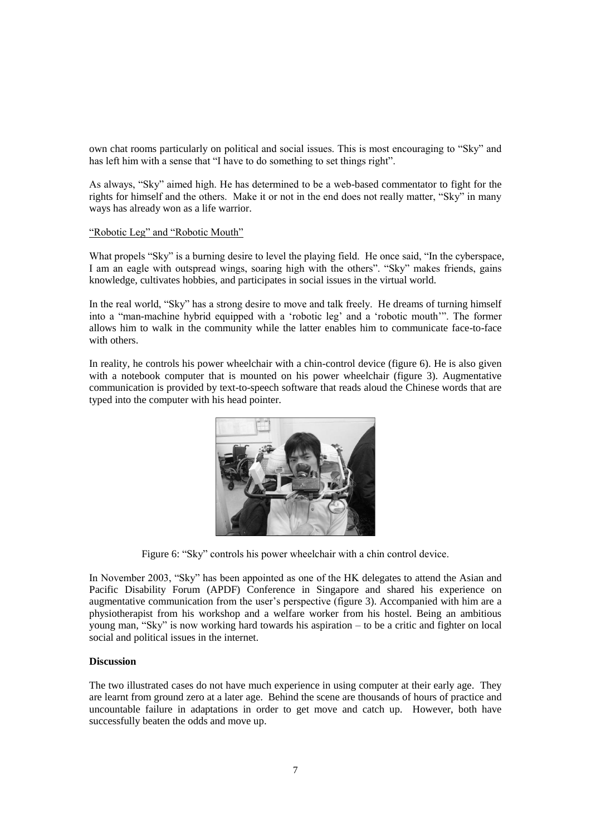own chat rooms particularly on political and social issues. This is most encouraging to "Sky" and has left him with a sense that "I have to do something to set things right".

As always, "Sky" aimed high. He has determined to be a web-based commentator to fight for the rights for himself and the others. Make it or not in the end does not really matter, "Sky" in many ways has already won as a life warrior.

#### "Robotic Leg" and "Robotic Mouth"

What propels "Sky" is a burning desire to level the playing field. He once said, "In the cyberspace, I am an eagle with outspread wings, soaring high with the others". "Sky" makes friends, gains knowledge, cultivates hobbies, and participates in social issues in the virtual world.

In the real world, "Sky" has a strong desire to move and talk freely. He dreams of turning himself into a "man-machine hybrid equipped with a 'robotic leg' and a 'robotic mouth'". The former allows him to walk in the community while the latter enables him to communicate face-to-face with others.

In reality, he controls his power wheelchair with a chin-control device (figure 6). He is also given with a notebook computer that is mounted on his power wheelchair (figure 3). Augmentative communication is provided by text-to-speech software that reads aloud the Chinese words that are typed into the computer with his head pointer.



Figure 6: "Sky" controls his power wheelchair with a chin control device.

In November 2003, "Sky" has been appointed as one of the HK delegates to attend the Asian and Pacific Disability Forum (APDF) Conference in Singapore and shared his experience on augmentative communication from the user's perspective (figure 3). Accompanied with him are a physiotherapist from his workshop and a welfare worker from his hostel. Being an ambitious young man, "Sky" is now working hard towards his aspiration – to be a critic and fighter on local social and political issues in the internet.

#### **Discussion**

The two illustrated cases do not have much experience in using computer at their early age. They are learnt from ground zero at a later age. Behind the scene are thousands of hours of practice and uncountable failure in adaptations in order to get move and catch up. However, both have successfully beaten the odds and move up.